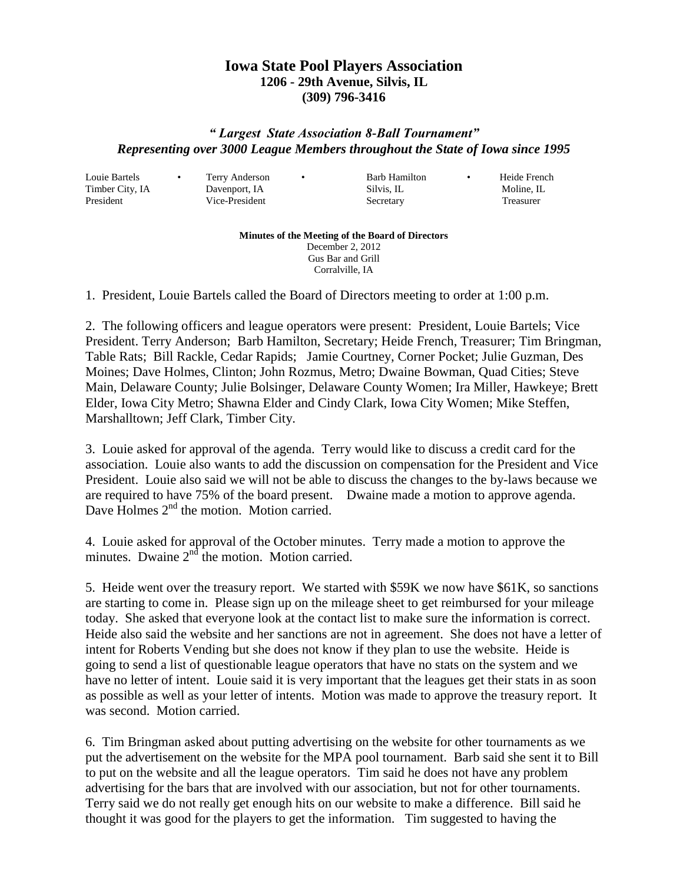## **Iowa State Pool Players Association 1206 - 29th Avenue, Silvis, IL (309) 796-3416**

## *" Largest State Association 8-Ball Tournament" Representing over 3000 League Members throughout the State of Iowa since 1995*

Louie Bartels • Terry Anderson • Barb Hamilton • Heide French

Timber City, IA Davenport, IA Silvis, IL Moline, IL President Vice-President Secretary Treasurer

## **Minutes of the Meeting of the Board of Directors** December 2, 2012 Gus Bar and Grill

Corralville, IA

1. President, Louie Bartels called the Board of Directors meeting to order at 1:00 p.m.

2. The following officers and league operators were present: President, Louie Bartels; Vice President. Terry Anderson; Barb Hamilton, Secretary; Heide French, Treasurer; Tim Bringman, Table Rats; Bill Rackle, Cedar Rapids; Jamie Courtney, Corner Pocket; Julie Guzman, Des Moines; Dave Holmes, Clinton; John Rozmus, Metro; Dwaine Bowman, Quad Cities; Steve Main, Delaware County; Julie Bolsinger, Delaware County Women; Ira Miller, Hawkeye; Brett Elder, Iowa City Metro; Shawna Elder and Cindy Clark, Iowa City Women; Mike Steffen, Marshalltown; Jeff Clark, Timber City.

3. Louie asked for approval of the agenda. Terry would like to discuss a credit card for the association. Louie also wants to add the discussion on compensation for the President and Vice President. Louie also said we will not be able to discuss the changes to the by-laws because we are required to have 75% of the board present. Dwaine made a motion to approve agenda. Dave Holmes 2<sup>nd</sup> the motion. Motion carried.

4. Louie asked for approval of the October minutes. Terry made a motion to approve the minutes. Dwaine  $2<sup>nd</sup>$  the motion. Motion carried.

5. Heide went over the treasury report. We started with \$59K we now have \$61K, so sanctions are starting to come in. Please sign up on the mileage sheet to get reimbursed for your mileage today. She asked that everyone look at the contact list to make sure the information is correct. Heide also said the website and her sanctions are not in agreement. She does not have a letter of intent for Roberts Vending but she does not know if they plan to use the website. Heide is going to send a list of questionable league operators that have no stats on the system and we have no letter of intent. Louie said it is very important that the leagues get their stats in as soon as possible as well as your letter of intents. Motion was made to approve the treasury report. It was second. Motion carried.

6. Tim Bringman asked about putting advertising on the website for other tournaments as we put the advertisement on the website for the MPA pool tournament. Barb said she sent it to Bill to put on the website and all the league operators. Tim said he does not have any problem advertising for the bars that are involved with our association, but not for other tournaments. Terry said we do not really get enough hits on our website to make a difference. Bill said he thought it was good for the players to get the information. Tim suggested to having the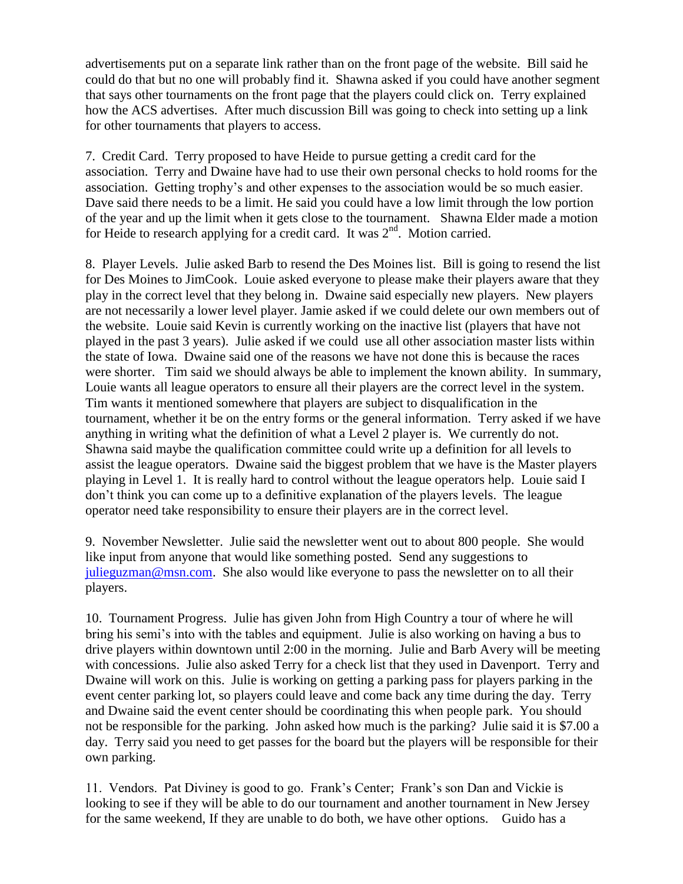advertisements put on a separate link rather than on the front page of the website. Bill said he could do that but no one will probably find it. Shawna asked if you could have another segment that says other tournaments on the front page that the players could click on. Terry explained how the ACS advertises. After much discussion Bill was going to check into setting up a link for other tournaments that players to access.

7. Credit Card. Terry proposed to have Heide to pursue getting a credit card for the association. Terry and Dwaine have had to use their own personal checks to hold rooms for the association. Getting trophy's and other expenses to the association would be so much easier. Dave said there needs to be a limit. He said you could have a low limit through the low portion of the year and up the limit when it gets close to the tournament. Shawna Elder made a motion for Heide to research applying for a credit card. It was  $2<sup>nd</sup>$ . Motion carried.

8. Player Levels. Julie asked Barb to resend the Des Moines list. Bill is going to resend the list for Des Moines to JimCook. Louie asked everyone to please make their players aware that they play in the correct level that they belong in. Dwaine said especially new players. New players are not necessarily a lower level player. Jamie asked if we could delete our own members out of the website. Louie said Kevin is currently working on the inactive list (players that have not played in the past 3 years). Julie asked if we could use all other association master lists within the state of Iowa. Dwaine said one of the reasons we have not done this is because the races were shorter. Tim said we should always be able to implement the known ability. In summary, Louie wants all league operators to ensure all their players are the correct level in the system. Tim wants it mentioned somewhere that players are subject to disqualification in the tournament, whether it be on the entry forms or the general information. Terry asked if we have anything in writing what the definition of what a Level 2 player is. We currently do not. Shawna said maybe the qualification committee could write up a definition for all levels to assist the league operators. Dwaine said the biggest problem that we have is the Master players playing in Level 1. It is really hard to control without the league operators help. Louie said I don't think you can come up to a definitive explanation of the players levels. The league operator need take responsibility to ensure their players are in the correct level.

9. November Newsletter. Julie said the newsletter went out to about 800 people. She would like input from anyone that would like something posted. Send any suggestions to [julieguzman@msn.com.](mailto:julieguzman@msn.com) She also would like everyone to pass the newsletter on to all their players.

10. Tournament Progress. Julie has given John from High Country a tour of where he will bring his semi's into with the tables and equipment. Julie is also working on having a bus to drive players within downtown until 2:00 in the morning. Julie and Barb Avery will be meeting with concessions. Julie also asked Terry for a check list that they used in Davenport. Terry and Dwaine will work on this. Julie is working on getting a parking pass for players parking in the event center parking lot, so players could leave and come back any time during the day. Terry and Dwaine said the event center should be coordinating this when people park. You should not be responsible for the parking. John asked how much is the parking? Julie said it is \$7.00 a day. Terry said you need to get passes for the board but the players will be responsible for their own parking.

11. Vendors. Pat Diviney is good to go. Frank's Center; Frank's son Dan and Vickie is looking to see if they will be able to do our tournament and another tournament in New Jersey for the same weekend, If they are unable to do both, we have other options. Guido has a